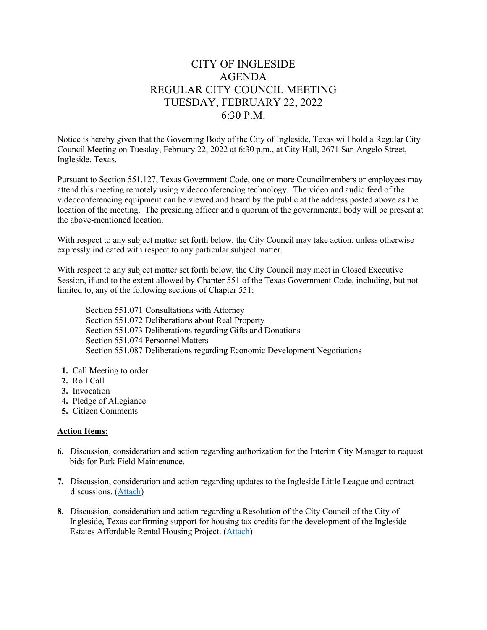# CITY OF INGLESIDE AGENDA REGULAR CITY COUNCIL MEETING TUESDAY, FEBRUARY 22, 2022 6:30 P.M.

Notice is hereby given that the Governing Body of the City of Ingleside, Texas will hold a Regular City Council Meeting on Tuesday, February 22, 2022 at 6:30 p.m., at City Hall, 2671 San Angelo Street, Ingleside, Texas.

Pursuant to Section 551.127, Texas Government Code, one or more Councilmembers or employees may attend this meeting remotely using videoconferencing technology. The video and audio feed of the videoconferencing equipment can be viewed and heard by the public at the address posted above as the location of the meeting. The presiding officer and a quorum of the governmental body will be present at the above-mentioned location.

With respect to any subject matter set forth below, the City Council may take action, unless otherwise expressly indicated with respect to any particular subject matter.

With respect to any subject matter set forth below, the City Council may meet in Closed Executive Session, if and to the extent allowed by Chapter 551 of the Texas Government Code, including, but not limited to, any of the following sections of Chapter 551:

Section 551.071 Consultations with Attorney Section 551.072 Deliberations about Real Property Section 551.073 Deliberations regarding Gifts and Donations Section 551.074 Personnel Matters Section 551.087 Deliberations regarding Economic Development Negotiations

- **1.** Call Meeting to order
- **2.** Roll Call
- **3.** Invocation
- **4.** Pledge of Allegiance
- **5.** Citizen Comments

#### **Action Items:**

- **6.** Discussion, consideration and action regarding authorization for the Interim City Manager to request bids for Park Field Maintenance.
- **7.** Discussion, consideration and action regarding updates to the Ingleside Little League and contract discussions. [\(Attach\)](https://tx-ingleside.civicplus.com/DocumentCenter/View/818/7-Little-League-1)
- **8.** Discussion, consideration and action regarding a Resolution of the City Council of the City of Ingleside, Texas confirming support for housing tax credits for the development of the Ingleside Estates Affordable Rental Housing Project. [\(Attach\)](https://tx-ingleside.civicplus.com/DocumentCenter/View/819/8-Housing-Authority)